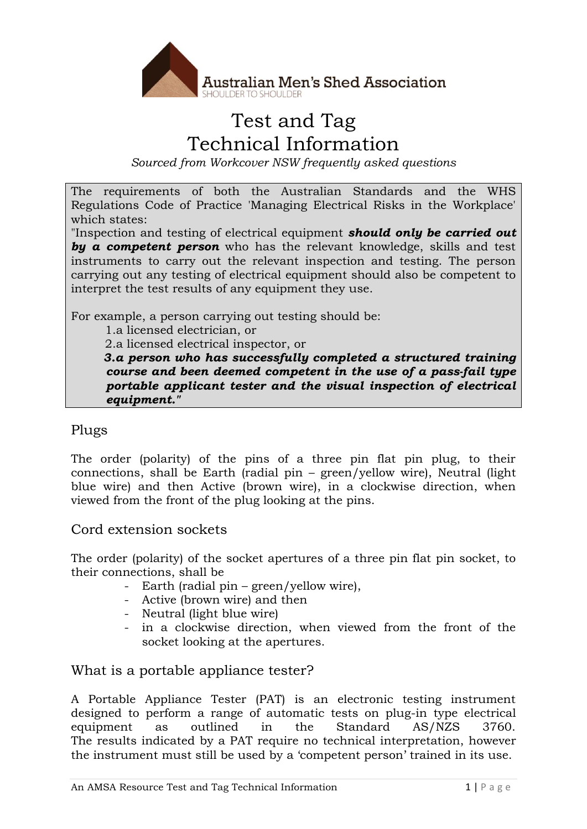

# Test and Tag Technical Information

*Sourced from Workcover NSW frequently asked questions*

The requirements of both the Australian Standards and the WHS Regulations Code of Practice 'Managing Electrical Risks in the Workplace' which states:

"Inspection and testing of electrical equipment *should only be carried out by a competent person* who has the relevant knowledge, skills and test instruments to carry out the relevant inspection and testing. The person carrying out any testing of electrical equipment should also be competent to interpret the test results of any equipment they use.

For example, a person carrying out testing should be:

1.a licensed electrician, or

2.a licensed electrical inspector, or

 *3.a person who has successfully completed a structured training course and been deemed competent in the use of a pass-fail type portable applicant tester and the visual inspection of electrical equipment."*

#### Plugs

The order (polarity) of the pins of a three pin flat pin plug, to their connections, shall be Earth (radial pin – green/yellow wire), Neutral (light blue wire) and then Active (brown wire), in a clockwise direction, when viewed from the front of the plug looking at the pins.

Cord extension sockets

The order (polarity) of the socket apertures of a three pin flat pin socket, to their connections, shall be

- Earth (radial pin green/yellow wire),
- Active (brown wire) and then
- Neutral (light blue wire)
- in a clockwise direction, when viewed from the front of the socket looking at the apertures.

## What is a portable appliance tester?

A Portable Appliance Tester (PAT) is an electronic testing instrument designed to perform a range of automatic tests on plug-in type electrical equipment as outlined in the Standard AS/NZS 3760. The results indicated by a PAT require no technical interpretation, however the instrument must still be used by a 'competent person' trained in its use.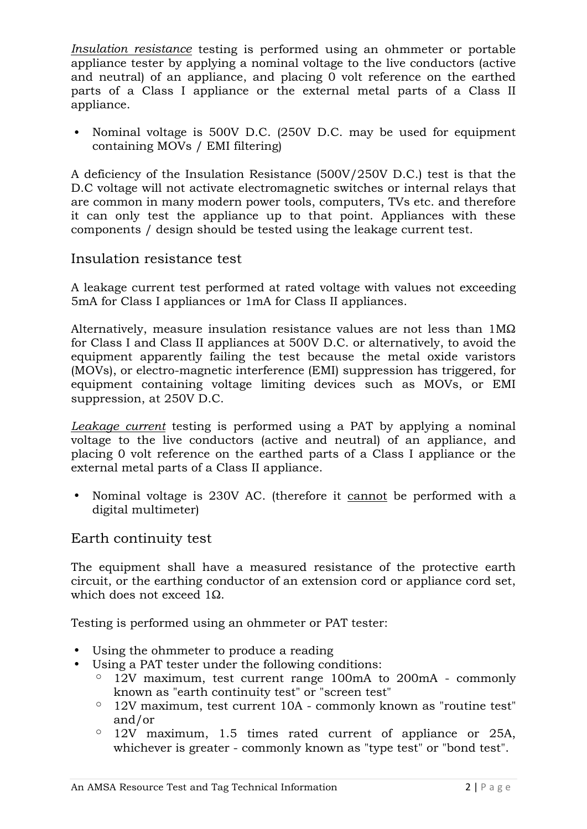*Insulation resistance* testing is performed using an ohmmeter or portable appliance tester by applying a nominal voltage to the live conductors (active and neutral) of an appliance, and placing 0 volt reference on the earthed parts of a Class I appliance or the external metal parts of a Class II appliance.

 Nominal voltage is 500V D.C. (250V D.C. may be used for equipment containing MOVs / EMI filtering)

A deficiency of the Insulation Resistance (500V/250V D.C.) test is that the D.C voltage will not activate electromagnetic switches or internal relays that are common in many modern power tools, computers, TVs etc. and therefore it can only test the appliance up to that point. Appliances with these components / design should be tested using the leakage current test.

#### Insulation resistance test

A leakage current test performed at rated voltage with values not exceeding 5mA for Class I appliances or 1mA for Class II appliances.

Alternatively, measure insulation resistance values are not less than 1MΩ for Class I and Class II appliances at 500V D.C. or alternatively, to avoid the equipment apparently failing the test because the metal oxide varistors (MOVs), or electro-magnetic interference (EMI) suppression has triggered, for equipment containing voltage limiting devices such as MOVs, or EMI suppression, at 250V D.C.

*Leakage current* testing is performed using a PAT by applying a nominal voltage to the live conductors (active and neutral) of an appliance, and placing 0 volt reference on the earthed parts of a Class I appliance or the external metal parts of a Class II appliance.

• Nominal voltage is 230V AC. (therefore it cannot be performed with a digital multimeter)

#### Earth continuity test

The equipment shall have a measured resistance of the protective earth circuit, or the earthing conductor of an extension cord or appliance cord set, which does not exceed 10.

Testing is performed using an ohmmeter or PAT tester:

- Using the ohmmeter to produce a reading
- Using a PAT tester under the following conditions:
	- $\degree$  12V maximum, test current range 100mA to 200mA commonly known as "earth continuity test" or "screen test"
	- $\degree$  12V maximum, test current 10A commonly known as "routine test" and/or
	- $\degree$  12V maximum, 1.5 times rated current of appliance or 25A, whichever is greater - commonly known as "type test" or "bond test".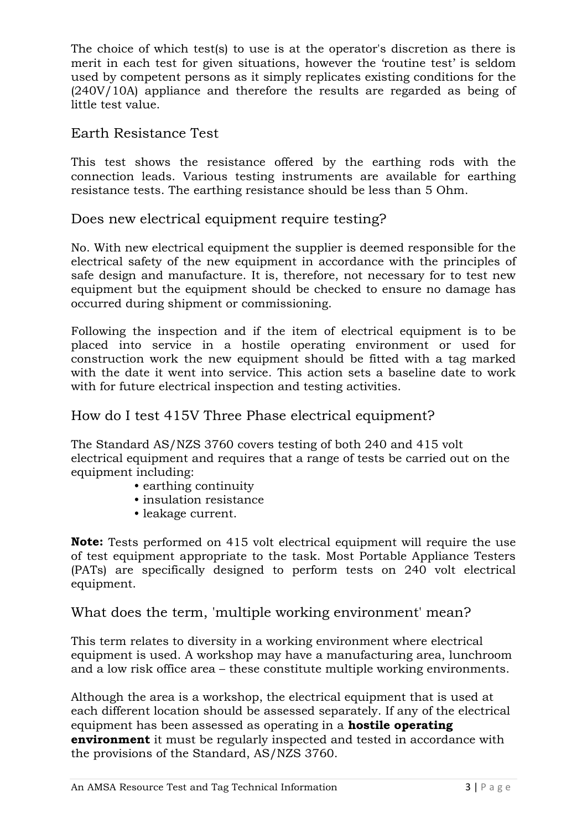The choice of which test(s) to use is at the operator's discretion as there is merit in each test for given situations, however the 'routine test' is seldom used by competent persons as it simply replicates existing conditions for the (240V/10A) appliance and therefore the results are regarded as being of little test value.

### Earth Resistance Test

This test shows the resistance offered by the earthing rods with the connection leads. Various testing instruments are available for earthing resistance tests. The earthing resistance should be less than 5 Ohm.

## Does new electrical equipment require testing?

No. With new electrical equipment the supplier is deemed responsible for the electrical safety of the new equipment in accordance with the principles of safe design and manufacture. It is, therefore, not necessary for to test new equipment but the equipment should be checked to ensure no damage has occurred during shipment or commissioning.

Following the inspection and if the item of electrical equipment is to be placed into service in a hostile operating environment or used for construction work the new equipment should be fitted with a tag marked with the date it went into service. This action sets a baseline date to work with for future electrical inspection and testing activities.

## How do I test 415V Three Phase electrical equipment?

The Standard AS/NZS 3760 covers testing of both 240 and 415 volt electrical equipment and requires that a range of tests be carried out on the equipment including:

- earthing continuity
- insulation resistance
- leakage current.

**Note:** Tests performed on 415 volt electrical equipment will require the use of test equipment appropriate to the task. Most Portable Appliance Testers (PATs) are specifically designed to perform tests on 240 volt electrical equipment.

## What does the term, 'multiple working environment' mean?

This term relates to diversity in a working environment where electrical equipment is used. A workshop may have a manufacturing area, lunchroom and a low risk office area – these constitute multiple working environments.

Although the area is a workshop, the electrical equipment that is used at each different location should be assessed separately. If any of the electrical equipment has been assessed as operating in a **hostile operating environment** it must be regularly inspected and tested in accordance with the provisions of the Standard, AS/NZS 3760.